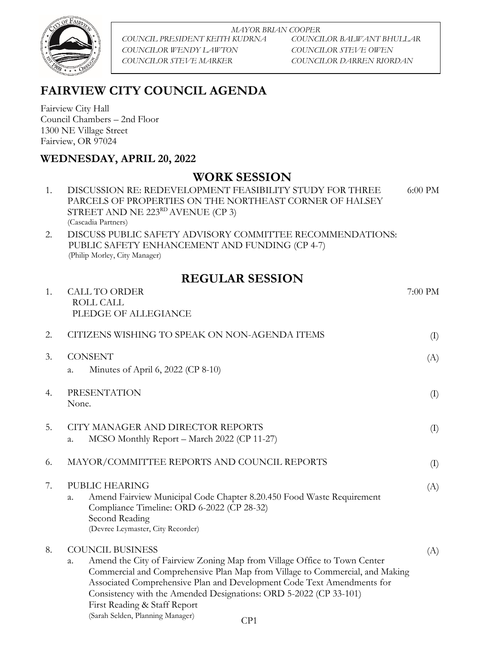

*MAYOR BRIAN COOPER COUNCIL PRESIDENT KEITH KUDRNA COUNCILOR BALWANT BHULLAR COUNCILOR WENDY LAWTON COUNCILOR STEVE OWEN COUNCILOR STEVE MARKER COUNCILOR DARREN RIORDAN*

## **FAIRVIEW CITY COUNCIL AGENDA**

Fairview City Hall Council Chambers – 2nd Floor 1300 NE Village Street Fairview, OR 97024

## **WEDNESDAY, APRIL 20, 2022**

## **WORK SESSION**

| 1. | DISCUSSION RE: REDEVELOPMENT FEASIBILITY STUDY FOR THREE<br>PARCELS OF PROPERTIES ON THE NORTHEAST CORNER OF HALSEY<br>STREET AND NE $223RD$ AVENUE (CP 3)<br>(Cascadia Partners)                                                                                                                                                                                                                                        | 6:00 PM |
|----|--------------------------------------------------------------------------------------------------------------------------------------------------------------------------------------------------------------------------------------------------------------------------------------------------------------------------------------------------------------------------------------------------------------------------|---------|
| 2. | DISCUSS PUBLIC SAFETY ADVISORY COMMITTEE RECOMMENDATIONS:<br>PUBLIC SAFETY ENHANCEMENT AND FUNDING (CP 4-7)<br>(Philip Morley, City Manager)                                                                                                                                                                                                                                                                             |         |
|    | <b>REGULAR SESSION</b>                                                                                                                                                                                                                                                                                                                                                                                                   |         |
| 1. | <b>CALL TO ORDER</b><br>ROLL CALL<br>PLEDGE OF ALLEGIANCE                                                                                                                                                                                                                                                                                                                                                                | 7:00 PM |
| 2. | CITIZENS WISHING TO SPEAK ON NON-AGENDA ITEMS                                                                                                                                                                                                                                                                                                                                                                            | (I)     |
| 3. | <b>CONSENT</b><br>Minutes of April 6, 2022 (CP 8-10)<br>a.                                                                                                                                                                                                                                                                                                                                                               | (A)     |
| 4. | <b>PRESENTATION</b><br>None.                                                                                                                                                                                                                                                                                                                                                                                             | (I)     |
| 5. | CITY MANAGER AND DIRECTOR REPORTS<br>MCSO Monthly Report - March 2022 (CP 11-27)<br>a.                                                                                                                                                                                                                                                                                                                                   | (I)     |
| 6. | MAYOR/COMMITTEE REPORTS AND COUNCIL REPORTS                                                                                                                                                                                                                                                                                                                                                                              | (I)     |
| 7. | PUBLIC HEARING<br>Amend Fairview Municipal Code Chapter 8.20.450 Food Waste Requirement<br>a.<br>Compliance Timeline: ORD 6-2022 (CP 28-32)<br>Second Reading<br>(Devree Leymaster, City Recorder)                                                                                                                                                                                                                       | (A)     |
| 8. | <b>COUNCIL BUSINESS</b><br>Amend the City of Fairview Zoning Map from Village Office to Town Center<br>a.<br>Commercial and Comprehensive Plan Map from Village to Commercial, and Making<br>Associated Comprehensive Plan and Development Code Text Amendments for<br>Consistency with the Amended Designations: ORD 5-2022 (CP 33-101)<br>First Reading & Staff Report<br>(Sarah Selden, Planning Manager)<br>$\cap$ n | (A)     |